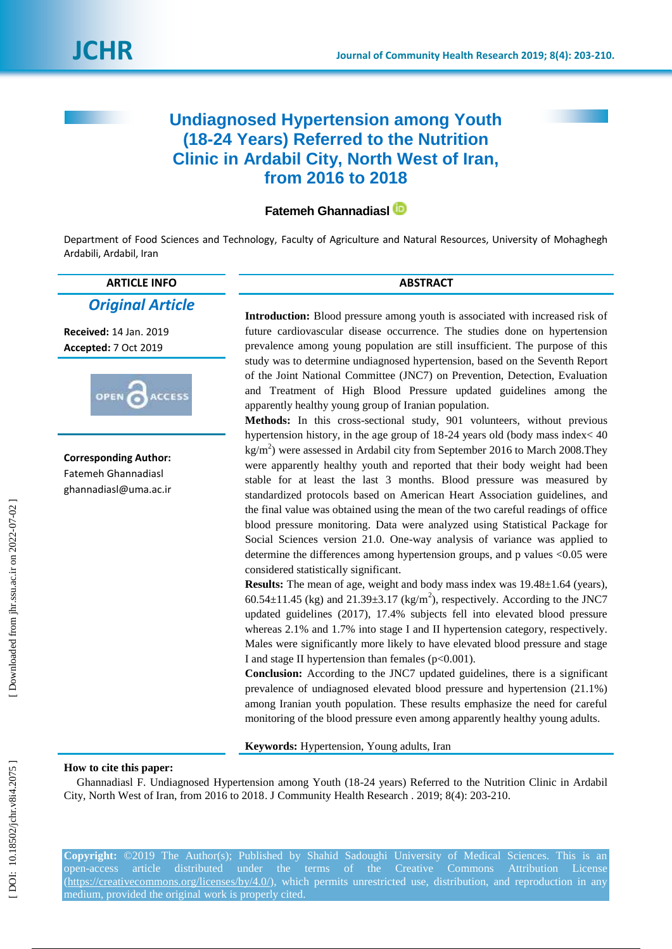# **Undiagnosed Hypertension among Youth (18 -24 Years) Referred to the Nutrition Clinic in Ardabil City, North West of Iran, from 2016 to 2018**

## **Fatemeh Ghannadiasl**

Department of Food Sciences and Technology, Faculty of Agriculture and Natural Resources, University of Mohaghegh Ardabili, Ardabil, Iran

**ARTICLE INFO ABSTRACT**

*Original Article*

**Received:** 14 Jan . 2019 **Accepted:** 7 Oct 2019



**Corresponding Author:** Fatemeh Ghannadiasl ghannadiasl@uma.ac.ir

**Introduction:** Blood pressure among youth is associated with increased risk of future cardiovascular disease occurrence. The studies done on hypertension prevalence among young population are still insufficient. The purpose of this study was to determine undiagnosed hypertension, based on the Seventh Report of the Joint National Committee (JNC7) on Prevention, Detection, Evaluation and Treatment of High Blood Pressure updated guidelines among the apparently healthy young group of Iranian population.

**Methods:** In this cross -sectional study, 901 volunteers, without previous hypertension history, in the age group of 18 -24 years old (body mass index< 40 kg/m 2 ) were assessed in Ardabil city from September 2016 to March 2008.They were apparently healthy youth and reported that their body weight had been stable for at least the last 3 months. Blood pressure was measured by standardized protocols based on American Heart Association guidelines, and the final value was obtained using the mean of the two careful readings of office blood pressure monitoring. Data were analyzed using Statistical Package for Social Sciences version 21.0. One -way analysis of variance was applied to determine the differences among hypertension groups, and p values <0.05 were considered statistically significant.

**Results:** The mean of age, weight and body mass index was 19.48±1.64 (years),  $60.54 \pm 11.45$  (kg) and  $21.39 \pm 3.17$  (kg/m<sup>2</sup>), respectively. According to the JNC7 updated guidelines (2017), 17.4% subjects fell into elevated blood pressure whereas 2.1% and 1.7% into stage I and II hypertension category, respectively. Males were significantly more likely to have elevated blood pressure and stage I and stage II hypertension than females (p<0.001).

**Conclusion:** According to the JNC7 updated guidelines, there is a significant prevalence of undiagnosed elevated blood pressure and hypertension (21.1%) among Iranian youth population. These results emphasize the need for careful monitoring of the blood pressure even among apparently healthy young adults.

**Keywords:** Hypertension, Young adults, Iran

### **How to cite this paper:**

Ghannadiasl F. Undiagnosed Hypertension among Youth (18 -24 years) Referred to the Nutrition Clinic in Ardabil City, North West of Iran, from 2016 to 2018. J Community Health Research . 2019; 8( 4): 203 -210.

**Copyright:** ©2019 The Author(s); Published by Shahid Sadoughi University of Medical Sciences. This is an open-access article distributed under the terms of the Creative Commons Attribution License [\(https://creativecommons.org/licenses/by/4.0/\)](https://creativecommons.org/licenses/by/4.0/), which permits unrestricted use, distribution, and reproduction in any medium, provided the original work is properly cited.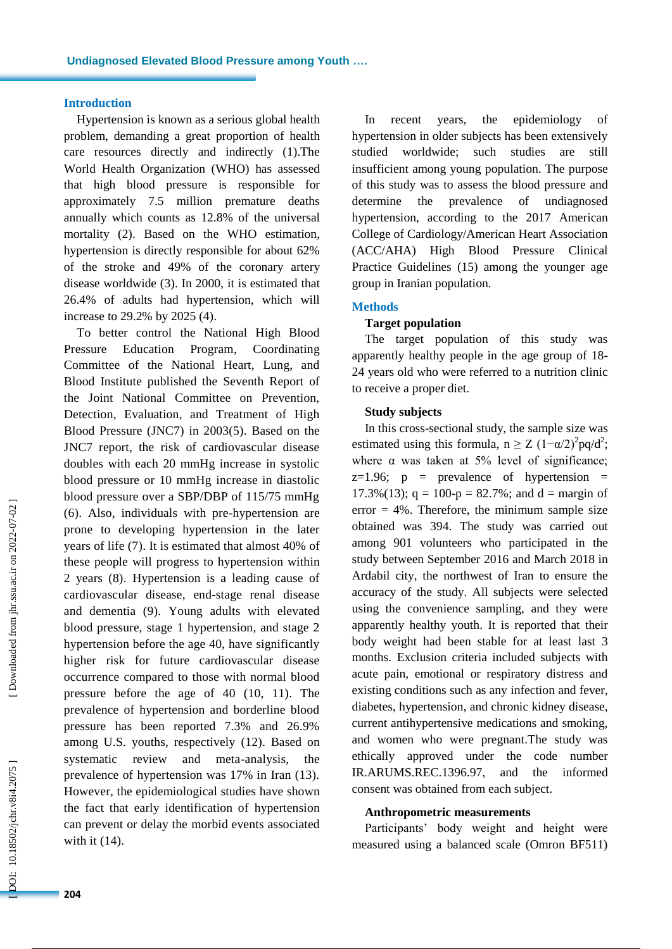## **Introduction**

Hypertension is known as a serious global health problem, demanding a great proportion of health care resources directly and indirectly (1).The World Health Organization (WHO) has assessed that high blood pressure is responsible for approximately 7.5 million premature deaths annually which counts as 12.8% of the universal mortality (2). Based on the WHO estimation, hypertension is directly responsible for about 62% of the stroke and 49% of the coronary artery disease worldwide (3). In 2000, it is estimated that 26.4% of adults had hypertension, which will increase to 29.2% by 2025 ( 4).

To better control the National High Blood Pressure Education Program , Coordinating Committee of the National Heart, Lung, and Blood Institute published the Seventh Report of the Joint National Committee on Prevention, Detection, Evaluation, and Treatment of High Blood Pressure (JNC7) in 2003(5). Based on the JNC7 report, the risk of cardiovascular disease doubles with each 20 mmHg increase in systolic blood pressure or 10 mmHg increase in diastolic blood pressure over a SBP/DBP of 115/75 mmHg (6). Also, individuals with pre-hypertension are prone to developing hypertension in the later years of life (7). It is estimated that almost 40% of these people will progress to hypertension within 2 years (8). Hypertension is a leading cause of cardiovascular disease, end -stage renal disease and dementia (9). Young adults with elevated blood pressure, stage 1 hypertension, and stage 2 hypertension before the age 40, have significantly higher risk for future cardiovascular disease occurrence compared to those with normal blood pressure before the age of 40 (10, 11). The prevalence of hypertension and borderline blood pressure has been reported 7.3% and 26.9% among U.S. youths, respectively (12). Based on systematic review and meta-analysis, the prevalence of hypertension was 17% in Iran (13). However, the epidemiological studies have shown the fact that early identification of hypertension can prevent or delay the morbid events associated with it (14).

In recent years, the epidemiology of hypertension in older subjects has been extensively studied worldwide; such studies are still insufficient among young population. The purpose of this study was to assess the blood pressure and determine the prevalence of undiagnosed hypertension, according to the 2017 American College of Cardiology/American Heart Association (ACC/AHA) High Blood Pressure Clinical Practice Guidelines (15 ) among the younger age group in Iranian population.

#### **Methods**

## **Target population**

The target population of this study was apparently healthy people in the age group of 18 - 24 years old who were referred to a nutrition clinic to receive a proper diet.

#### **Study subjects**

In this cross -sectional study, the sample size was estimated using this formula,  $n \ge Z (1-\alpha/2)^2 pq/d^2$ ; where  $\alpha$  was taken at 5% level of significance;  $z=1.96$ ;  $p =$  prevalence of hypertension = 17.3%(13);  $q = 100-p = 82.7%$ ; and  $d =$  margin of  $error = 4\%$ . Therefore, the minimum sample size obtained was 394. The study was carried out among 901 volunteers who participated in the study between September 2016 and March 201 8 in Ardabil city, the northwest of Iran to ensure the accuracy of the study. All subjects were selected using the convenience sampling, and they were apparently healthy youth. It is reported that their body weight had been stable for at least last 3 months. Exclusion criteria included subjects with acute pain, emotional or respiratory distress and existing conditions such as any infection and fever, diabetes, hypertension, and chronic kidney disease, current antihypertensive medications and smoking, and women who were pregnant.The study was ethically approved under the code number IR.ARUMS.REC.1396.97, and the informed consent was obtained from each subject.

#### **Anthropometric measurements**

Participants' body weight and height were measured using a balanced scale (Omron BF511)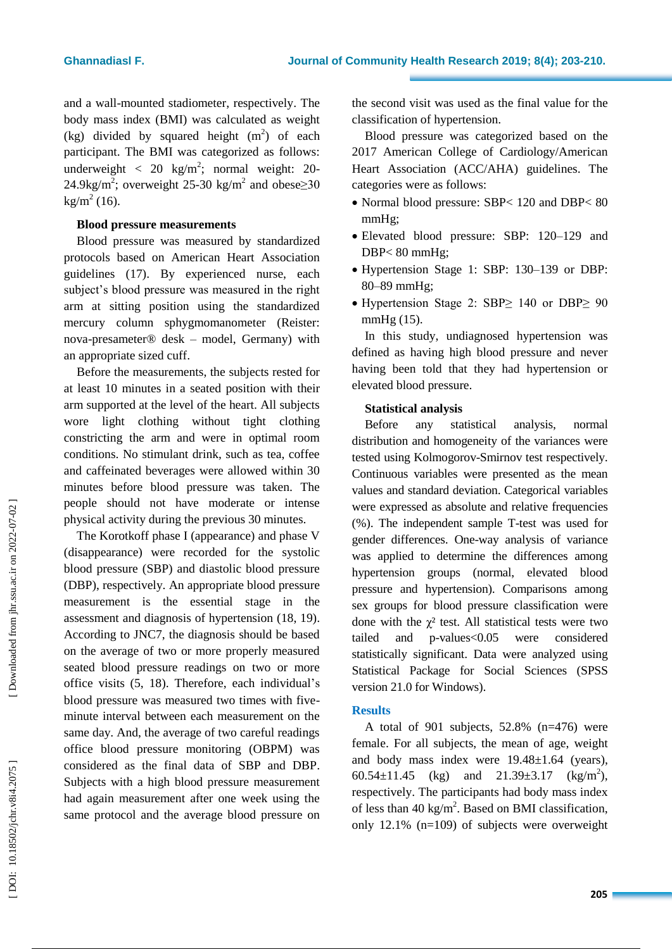and a wall -mounted stadiometer, respectively. The body mass index (BMI) was calculated as weight (kg) divided by squared height  $(m<sup>2</sup>)$  of each participant. The BMI was categorized as follows: underweight < 20  $\text{kg/m}^2$ ; normal weight: 20-24.9kg/m<sup>2</sup>; overweight 25-30 kg/m<sup>2</sup> and obese $\geq$ 30  $\text{kg/m}^2$  (16).

## **Blood pressure measurement s**

Blood pressure was measured by standardized protocols based on American Heart Association guidelines (17). By experienced nurse, each subject's blood pressure was measured in the right arm at sitting position using the standardized mercury column sphygmomanometer (Reister: nova -presameter® desk – model, Germany) with an appropriate sized cuff.

Before the measurements, the subjects rested for at least 10 minutes in a seated position with their arm supported at the level of the heart. All subjects wore light clothing without tight clothing constricting the arm and were in optimal room conditions. No stimulant drink, such as tea, coffee and caffeinated beverages were allowed within 30 minutes before blood pressure was taken. The people should not have moderate or intense physical activity during the previous 30 minutes.

The Korotkoff phase I (appearance) and phase V (disappearance) were recorded for the systolic blood pressure (SBP ) and diastolic blood pressure (DBP ), respectively. An appropriate blood pressure measurement is the essential stage in the assessment and diagnosis of hypertension (18, 19). According to JNC7, the diagnosis should be based on the average of two or more properly measured seated blood pressure readings on two or more office visits (5, 18). Therefore, each individual's blood pressure was measured two times with five minute interval between each measurement on the same day. And, the average of two careful readings office blood pressure monitoring (OBPM) was considered as the final data of SBP and DBP . Subjects with a high blood pressure measurement had again measurement after one week using the same protocol and the average blood pressure on

the second visit was used as the final value for the classification of hypertension.

Blood pressure was categorized based on the 2017 American College of Cardiology/American Heart Association (ACC/AHA) guidelines. The categories were as follows:

- Normal blood pressure: SBP< 120 and DBP< 80 mmHg;
- Elevated blood pressure: SBP: 120 1 29 and DBP< 80 mmHg;
- Hypertension Stage 1: SBP: 130-139 or DBP: 8 0 – 89 mmHg;
- Hypertension Stage 2: SBP≥ 140 or DBP≥ 90 mmHg (15).

In this study, undiagnosed hypertension was defined as having high blood pressure and never having been told that they had hypertension or elevated blood pressure.

## **Statistical analysis**

Before any statistical analysis, normal distribution and homogeneity of the variances were tested using Kolmogorov -Smirnov test respectively. Continuous variables were presented as the mean values and standard deviation. Categorical variables were expressed as absolute and relative frequencies (%). The independent sample T -test was used for gender differences. One -way analysis of variance was applied to determine the differences among hypertension groups (normal, elevated blood pressure and hypertension) . Comparisons among sex groups for blood pressure classification were done with the  $\chi^2$  test. All statistical tests were two tailed p -values<0.05 were considered statistically significant. Data were analyzed using Statistical Package for Social Sciences (SPSS version 21.0 for Windows).

## **Results**

A total of 901 subjects,  $52.8\%$  (n=476) were female. For all subjects, the mean of age, weight and body mass index were 19.4 8±1.6 4 (years), 60.54 $\pm$ 11.45 (kg) and 21.39 $\pm$ 3.17 (kg/m<sup>2</sup>), respectively. The participants had body mass index of less than 40 kg/m<sup>2</sup>. Based on BMI classification, only 1 2 . 1 % (n=109) of subjects were overweight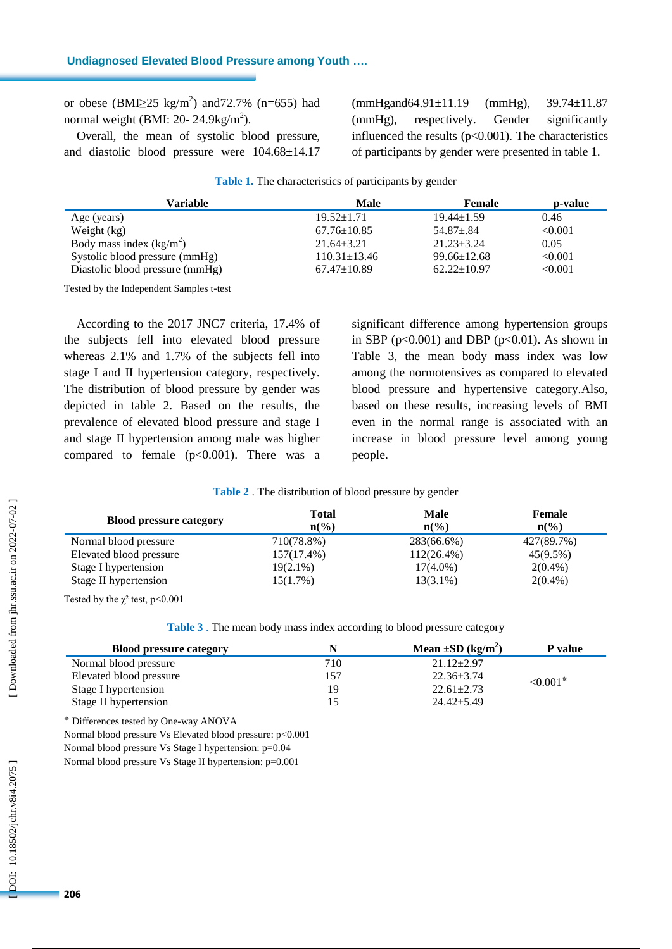### **Undiagnosed Elevated Blood Pressure among Youth ….**

or obese (BMI $\geq$ 25 kg/m<sup>2</sup>) and 72.7% (n=655) had normal weight (BMI: 20- 24.9 $\text{kg/m}^2$ ).

Overall, the mean of systolic blood pressure, and diastolic blood pressure were 10 4 .68±1 4 .17 (mmHgand64.91±11.19 (mmHg), 39.74±11.87 (mmHg), respectively. Gender significantly influenced the results (p<0.0 01). The characteristics of participants by gender were presented in table 1.

| Variable                        | Male               | Female            | p-value |
|---------------------------------|--------------------|-------------------|---------|
| Age (years)                     | $19.52 \pm 1.71$   | $19.44 \pm 1.59$  | 0.46    |
| Weight $(kg)$                   | $67.76 \pm 10.85$  | $54.87 \pm .84$   | < 0.001 |
| Body mass index $(kg/m2)$       | $21.64 \pm 3.21$   | $21.23 \pm 3.24$  | 0.05    |
| Systolic blood pressure (mmHg)  | $110.31 \pm 13.46$ | $99.66 \pm 12.68$ | < 0.001 |
| Diastolic blood pressure (mmHg) | $67.47 \pm 10.89$  | $62.22 \pm 10.97$ | < 0.001 |

**Table 1 .** The characteristics of participants by gender

Tested by the Independent Samples t -test

According to the 2017 JNC7 criteria, 17.4% of the subjects fell into elevated blood pressure whereas 2.1% and 1.7% of the subjects fell into stage I and II hypertension category, respectively. The distribution of blood pressure by gender was depicted in table 2. Based on the results, the prevalence of elevated blood pressure and stage I and stage II hypertension among male was higher compared to female  $(p<0.001)$ . There was a

significant difference among hypertension groups in SBP ( $p<0.001$ ) and DBP ( $p<0.01$ ). As shown in Table 3, the mean body mass index was low among the normotensives as compared to elevated blood pressure and hypertensive category.Also, based on these results, increasing levels of BMI even in the normal range is associated with an increase in blood pressure level among young people.

#### **Table 2** . The distribution of blood pressure by gender

| <b>Blood pressure category</b> | Total<br>$\mathbf{n}(\%)$ | <b>Male</b><br>$n\binom{0}{0}$ | Female<br>$n\binom{0}{0}$ |
|--------------------------------|---------------------------|--------------------------------|---------------------------|
| Normal blood pressure          | 710(78.8%)                | 283(66.6%)                     | 427(89.7%)                |
| Elevated blood pressure        | 157(17.4%)                | $112(26.4\%)$                  | $45(9.5\%)$               |
| Stage I hypertension           | $19(2.1\%)$               | $17(4.0\%)$                    | $2(0.4\%)$                |
| Stage II hypertension          | $15(1.7\%)$               | $13(3.1\%)$                    | $2(0.4\%)$                |

Tested by the  $\chi^2$  test, p<0.001

|  |  | Table 3. The mean body mass index according to blood pressure category |  |  |
|--|--|------------------------------------------------------------------------|--|--|
|  |  |                                                                        |  |  |

| <b>Blood pressure category</b> |     | Mean $\pm SD$ (kg/m <sup>2</sup> ) | P value     |  |
|--------------------------------|-----|------------------------------------|-------------|--|
| Normal blood pressure          | 710 | $21.12 \pm 2.97$                   |             |  |
| Elevated blood pressure        | 157 | $22.36 \pm 3.74$                   | $< 0.001$ * |  |
| Stage I hypertension           | 19  | $22.61 \pm 2.73$                   |             |  |
| Stage II hypertension          |     | $24.42 \pm 5.49$                   |             |  |

Differences tested by One -way ANOVA

Normal blood pressure Vs Elevated blood pressure: p<0.001

Normal blood pressure Vs Stage I hypertension: p=0.04

Normal blood pressure Vs Stage II hypertension: p=0.001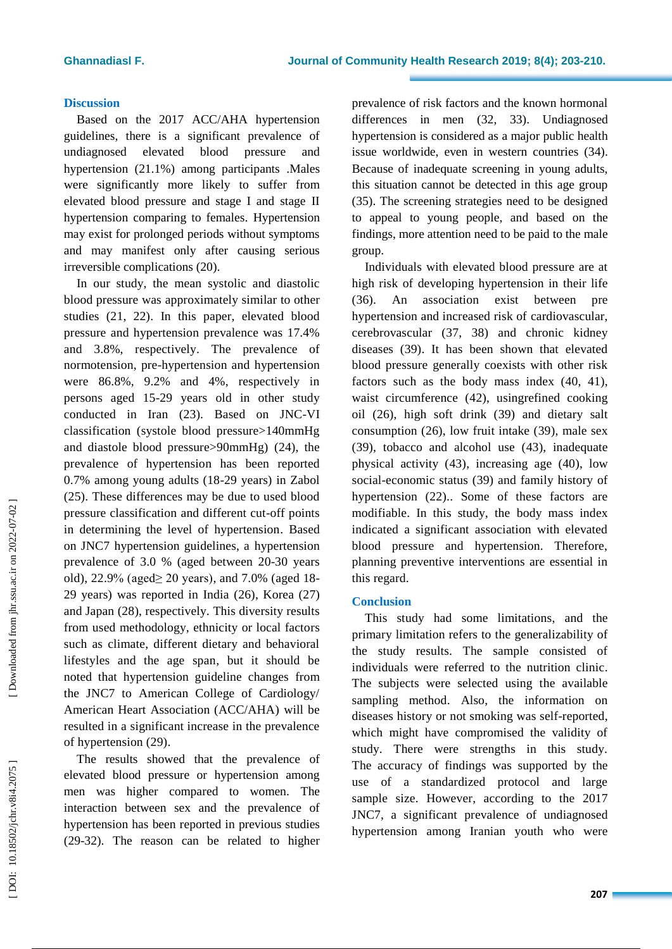## **Discussion**

Based on the 2017 ACC/AHA hypertension guidelines, there is a significant prevalence of undiagnosed elevated blood pressure and hypertension (21.1%) among participants .Males were significantly more likely to suffer from elevated blood pressure and stage I and stage II hypertension comparing to females. Hypertension may exist for prolonged periods without symptoms and may manifest only after causing serious irreversible complications (20).

In our study, the mean systolic and diastolic blood pressure was approximately similar to other studies (21 , 22). In this paper, elevated blood pressure and hypertension prevalence was 17.4% and 3.8%, respectively . The prevalence of normotension, pre -hypertension and hypertension were 86.8%, 9.2% and 4%, respectively in persons aged 15 -29 years old in other study conducted in Iran (23). Based on JNC -VI classification (systole blood pressure>140mmHg and diastole blood pressure>90mmHg) (24 ), the prevalence of hypertension has been reported 0.7% among young adults (18 -29 years) in Zabol ( 2 5). These differences may be due to used blood pressure classification and different cut -off points in determining the level of hypertension . Based on JNC7 hypertension guidelines, a hypertension prevalence of 3.0 % (aged between 20 -30 years old), 22.9% (aged≥ 20 years), and 7.0% (aged 18-29 years) was reported in India (26 ), Korea (27 ) and Japan (28 ), respectively. This diversity results from used methodology, ethnicity or local factors such as climate, different dietary and behavioral lifestyles and the age span , but it should be noted that hypertension guideline changes from the JNC7 to American College of Cardiology/ American Heart Association (ACC/AHA) will be resulted in a significant increase in the prevalence of hypertension (29) .

The results showed that the prevalence of elevated blood pressure or hypertension among men was higher compared to women. The interaction between sex and the prevalence of hypertension has been reported in previous studies (29-32). The reason can be related to higher prevalence of risk factors and the known hormonal differences in men (32 , 33). Undiagnosed hypertension is considered as a major public health issue worldwide, even in western countries (34). Because of inadequate screening in young adults, this situation cannot be detected in this age group (35). The screening strategies need to be designed to appeal to young people, and based on the findings , more attention need to be paid to the male group .

Individuals with elevated blood pressure are at high risk of developing hypertension in their life (36). An association exist between pre hypertension and increased risk of cardiovascular, cerebrovascular (37 , 38) and chronic kidney diseases (39). It has been shown that elevated blood pressure generally coexists with other risk factors such as the body mass index  $(40, 41)$ , waist circumference (42), usingrefined cooking oil (26), high soft drink (39) and dietary salt consumption (26), low fruit intake (39), male sex (39), tobacco and alcohol use (43), inadequate physical activity (43), increasing age (40), low social -economic status (39) and family history of hypertension (22 ) . . Some of these factors are modifiable. In this study, the body mass index indicated a significant association with elevated blood pressure and hypertension. Therefore, planning preventive interventions are essential in this regard.

## **Conclusion**

This study had some limitations, and the primary limitation refers to the generalizability of the study results. The sample consisted of individuals were referred to the nutrition clinic. The subjects were selected using the available sampling method. Also, the information on diseases history or not smoking was self -reported, which might have compromised the validity of study. There were strengths in this study. The accuracy of findings was supported by the use of a standardized protocol and large sample size. However, according to the 2017 JNC7 , a significant prevalence of undiagnosed hypertension among Iranian youth who were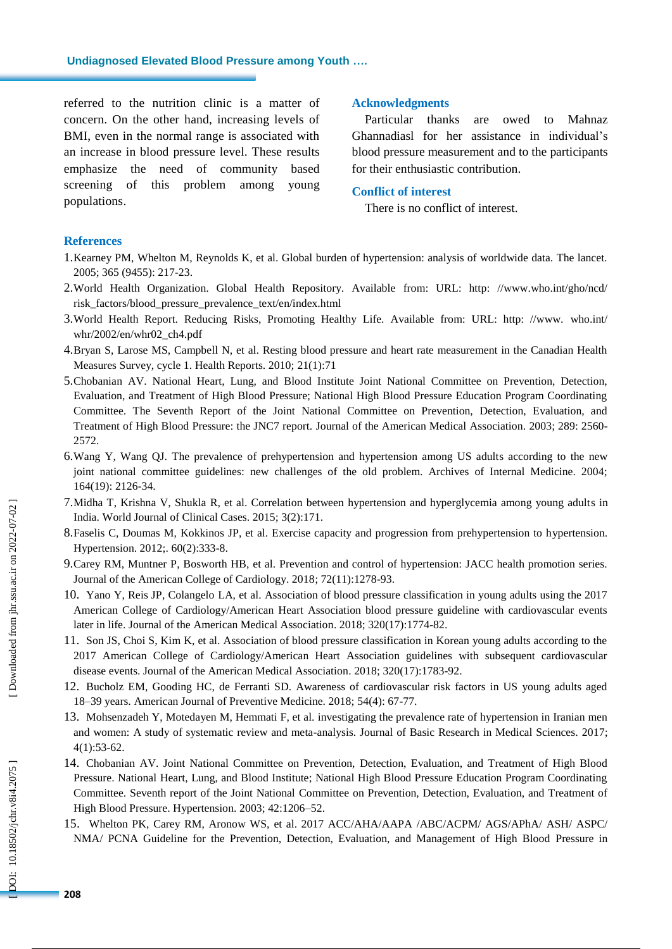**Undiagnosed Elevated Blood Pressure among Youth ….**

referred to the nutrition clinic is a matter of concern. On the other hand, increasing levels of BMI, even in the normal range is associated with an increase in blood pressure level. These results emphasize the need of community based screening of this problem among young populations .

### **Acknowledgments**

Particular thanks are owed to Mahnaz Ghannadiasl for her assistance in individual's blood pressure measurement and to the participants for their enthusiastic contribution .

## **Conflict of interest**

There is no conflict of interest.

## **References**

- 1.Kearney PM, Whelton M, Reynolds K, et al. Global burden of hypertension: analysis of worldwide data. The lancet. 2005; 365 (9455): 217 -23.
- 2 .World Health Organization. Global Health Repository. Available from: URL: http: //www.who.int/gho/ncd/ risk\_factors/blood\_pressure\_prevalence\_text/en/index.html
- 3 .World Health Report. Reducing Risks, Promoting Healthy Life. Available from: URL: http: //www. who.int/ whr/2002/en/whr02\_ch4.pdf
- 4 .Bryan S, Larose MS, Campbell N, et al. Resting blood pressure and heart rate measurement in the Canadian Health Measures Survey, cycle 1. Health Reports. 2010; 21(1):71
- 5 .Chobanian AV. National Heart, Lung, and Blood Institute Joint National Committee on Prevention, Detection, Evaluation, and Treatment of High Blood Pressure; National High Blood Pressure Education Program Coordinating Committee. The Seventh Report of the Joint National Committee on Prevention, Detection, Evaluation, and Treatment of High Blood Pressure: the JNC7 report. Journal of the American Medical Association. 2003; 289: 2560 - 2572.
- 6 .Wang Y, Wang QJ. The prevalence of prehypertension and hypertension among US adults according to the new joint national committee guidelines: new challenges of the old problem. Archives of Internal Medicine. 2004; 164(19): 2126 -34 .
- 7 .Midha T, Krishna V, Shukla R, et al. Correlation between hypertension and hyperglycemia among young adults in India. World Journal of Clinical Cases. 2015; 3(2):171.
- 8 .Faselis C, Doumas M, Kokkinos JP, et al. Exercise capacity and progression from prehypertension to hypertension. Hypertension. 2012;. 60(2):333-8.
- 9 .Carey RM, Muntner P, Bosworth HB, et al. Prevention and control of hypertension: JACC health promotion series. Journal of the American College of Cardiology. 2018; 72(11):1278-93.
- 10 . Yano Y, Reis JP, Colangelo LA, et al. Association of blood pressure classification in young adults using the 2017 American College of Cardiology/American Heart Association blood pressure guideline with cardiovascular events later in life. Journal of the American Medical Association. 2018; 320(17):1774 -82 .
- 11 . Son JS, Choi S, Kim K, et al. Association of blood pressure classification in Korean young adults according to the 2017 American College of Cardiology/American Heart Association guidelines with subsequent cardiovascular disease events. Journal of the American Medical Association. 2018; 320(17):1783 -92 .
- 12 . Bucholz EM, Gooding HC, de Ferranti SD. Awareness of cardiovascular risk factors in US young adults aged 18 –39 years. American Journal of Preventive Medicine. 2018; 54(4): 67 -77 .
- 13 . Mohsenzadeh Y, Motedayen M, Hemmati F, et al. investigating the prevalence rate of hypertension in Iranian men and women: A study of systematic review and meta -analysis. Journal of Basic Research in Medical Sciences. 2017; 4(1):53 -62 .
- 14 . Chobanian AV. Joint National Committee on Prevention, Detection, Evaluation, and Treatment of High Blood Pressure. National Heart, Lung, and Blood Institute; National High Blood Pressure Education Program Coordinating Committee. Seventh report of the Joint National Committee on Prevention, Detection, Evaluation, and Treatment of High Blood Pressure. Hypertension. 2003; 42:1206 –52.
- 15 . Whelton PK, Carey RM, Aronow WS, et al. 2017 ACC/AHA/AAPA /ABC/ACPM/ AGS/APhA/ ASH/ ASPC/ NMA/ PCNA Guideline for the Prevention, Detection, Evaluation, and Management of High Blood Pressure in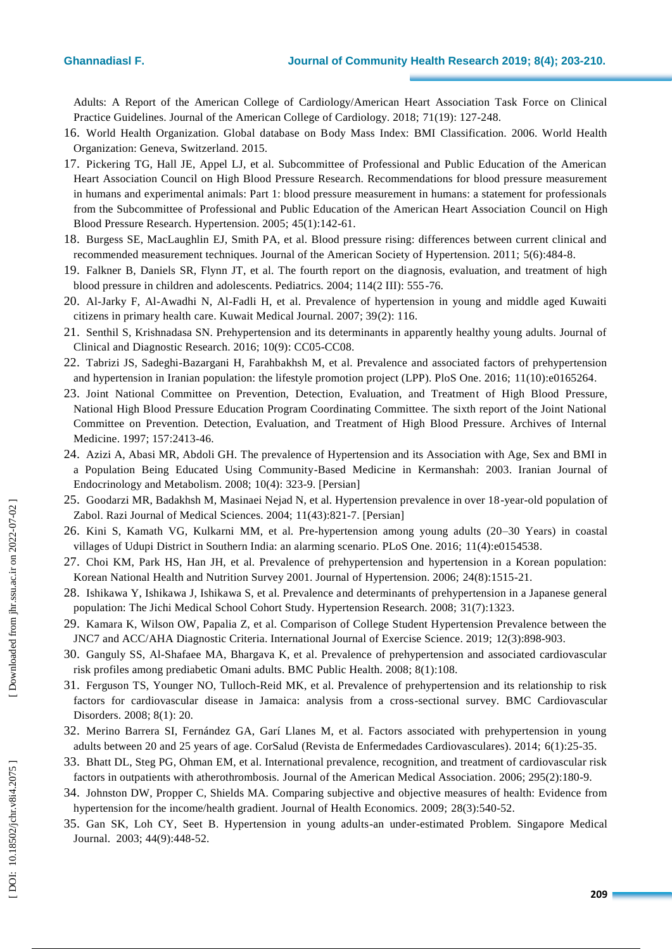## **Ghannadiasl F**

Adults: A Report of the American College of Cardiology/American Heart Association Task Force on Clinical Practice Guidelines. Journal of the American College of Cardiology. 2018; 71(19): 127 -248 .

- 16 . World Health Organization. Global database on Body Mass Index: BMI Classification. 2006. World Health Organization: Geneva, Switzerland. 2015.
- 17 . Pickering TG, Hall JE, Appel LJ, et al. Subcommittee of Professional and Public Education of the American Heart Association Council on High Blood Pressure Research. Recommendations for blood pressure measurement in humans and experimental animals: Part 1: blood pressure measurement in humans: a statement for professionals from the Subcommittee of Professional and Public Education of the American Heart Association Council on High Blood Pressure Research. Hypertension. 2005; 45(1):142 -61 .
- 18 . Burgess SE, MacLaughlin EJ, Smith PA, et al. Blood pressure rising: differences between current clinical and recommended measurement techniques. Journal of the American Society of Hypertension. 2011; 5(6):484-8.
- 19 . Falkner B, Daniels SR, Flynn JT, et al. The fourth report on the diagnosis, evaluation, and treatment of high blood pressure in children and adolescents. Pediatrics. 2004; 114(2 III): 555 -76.
- 20 . Al -Jarky F, Al -Awadhi N, Al -Fadli H, et al. Prevalence of hypertension in young and middle aged Kuwaiti citizens in primary health care. Kuwait Medical Journal. 2007; 39(2): 116.
- 21 . Senthil S, Krishnadasa SN. Prehypertension and its determinants in apparently healthy young adults. Journal of Clinical and Diagnostic Research. 2016; 10(9): CC05 -CC08.
- 22 . Tabrizi JS, Sadeghi -Bazargani H, Farahbakhsh M, et al. Prevalence and associated factors of prehypertension and hypertension in Iranian population: the lifestyle promotion project (LPP). PloS One. 2016; 11(10):e0165264 .
- 23 . Joint National Committee on Prevention, Detection, Evaluation, and Treatment of High Blood Pressure, National High Blood Pressure Education Program Coordinating Committee. The sixth report of the Joint National Committee on Prevention. Detection, Evaluation, and Treatment of High Blood Pressure. Archives of Internal Medicine. 1997; 157:2413 -46.
- 24 . Azizi A, Abasi MR, Abdoli GH. The prevalence of Hypertension and its Association with Age, Sex and BMI in a Population Being Educated Using Community -Based Medicine in Kermanshah: 2003. Iranian Journal of Endocrinology and Metabolism. 2008; 10(4): 323 -9. [Persian]
- 25. Goodarzi MR, Badakhsh M, Masinaei Nejad N, et al. Hypertension prevalence in over 18-year-old population of Zabol. Razi Journal of Medical Sciences. 2004; 11(43):821 - 7. [Persian]
- 26 . Kini S, Kamath VG, Kulkarni MM, et al. Pre -hypertension among young adults (20 –30 Years) in coastal villages of Udupi District in Southern India: an alarming scenario. PLoS One. 2016; 11(4):e0154538.
- 27 . Choi KM, Park HS, Han JH, et al. Prevalence of prehypertension and hypertension in a Korean population: Korean National Health and Nutrition Survey 2001. Journal of Hypertension. 2006; 24(8):1515 -21.
- 28 . Ishikawa Y, Ishikawa J, Ishikawa S, et al. Prevalence and determinants of prehypertension in a Japanese general population: The Jichi Medical School Cohort Study. Hypertension Research. 2008; 31(7):1323.
- 29 . Kamara K, Wilson OW, Papalia Z, et al. Comparison of College Student Hypertension Prevalence between the JNC7 and ACC/AHA Diagnostic Criteria. International Journal of Exercise Science. 2019; 12(3):898-903.
- 30 . Ganguly SS, Al -Shafaee MA, Bhargava K, et al. Prevalence of prehypertension and associated cardiovascular risk profiles among prediabetic Omani adults. BMC Public Health. 2008; 8(1):108 .
- 31 . Ferguson TS, Younger NO, Tulloch -Reid MK, et al. Prevalence of prehypertension and its relationship to risk factors for cardiovascular disease in Jamaica: analysis from a cross -sectional survey. BMC Cardiovascular Disorders. 2008; 8(1): 20.
- 32 . Merino Barrera SI, Fernández GA, Garí Llanes M, et al. Factors associated with prehypertension in young adults between 20 and 25 years of age. CorSalud (Revista de Enfermedades Cardiovasculares). 2014; 6(1):25-35.
- 33 . Bhatt DL, Steg PG, Ohman EM, et al. International prevalence, recognition, and treatment of cardiovascular risk factors in outpatients with atherothrombosis. Journal of the American Medical Association. 2006; 295(2):180-9.
- 34 . Johnston DW, Propper C, Shields MA. Comparing subjective and objective measures of health: Evidence from hypertension for the income/health gradient. Journal of Health Economics. 2009; 28(3):540-52.
- 35 . Gan SK, Loh CY, Seet B. Hypertension in young adults -an under -estimated Problem. Singapore Medical Journal. 2003; 44(9):448 -52 .

Downloaded from jhr.ssu.ac.ir on 2022-07-02